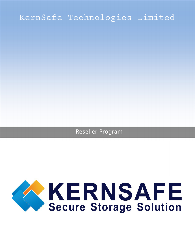# KernSafe Technologies Limited

Reseller Program

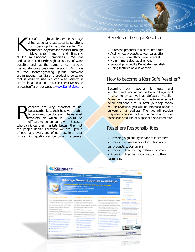ernSafe is global leader in storage virtualization and data security solutions from desktop to the data center. Our costumers vary from individuals, through middle size firms and finishing at big multinational companies. We are dedicated to produce the highest quality software possible and, at the same time, provide the outstanding customer support. As one of the fastest-growing public software organizations, KernSafe is producing software that is easy to use but can also benefit in professional solutions. You can check KernSafe products offer on our website [www.KernSafe.com.](http://www.kernsafe.com/)  $K_{\text{non}}^{\text{err}}$ 

esellers are very important to us, because thanks to their help we are able to provide our products on international markets on which it would be difficult to do on our own. Because who can know their markets better then not the people itself? Therefore we are proud of each and every one of our resellers that brings high quality service to our customers.  $R_{\tiny \textrm{max}}^{\textrm{see}}$ 

# Benefits of being a Reseller

- Purchase products at a discounted rate
- Adding new products to your sales offer
- Becoming more attractive on market
- No minimal sales requirement
- Support provided by KernSafe specialists
- Being featured on our website

# How to become a KernSafe Reseller?

Becoming our reseller is easy and simple. Read and acknowledge our Legal and Privacy Policy as well as Software Reseller Agreement, whereby fill out the form attached below and send it to us. After your application will be reviewed, you will be informed about it on your e-mail address. Then you will receive a special coupon that will allow you to purchase our products at a special discounted rate.

# Resellers Responsibilities

- Providing high quality service to customers
- Providing all necessary information about
- our products to costumers
- Providing direct billing to their customers • Providing direct technical support to their
- customers

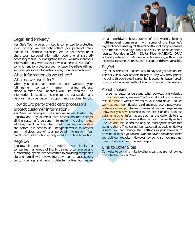# Legal and Privacy

KernSafe Technologies Limited is committed to protecting your privacy. We will only collect your personal information for defined purposes. We do not distribute or share your personal information beyond what is strictly necessary to fulfill our obligations to you. We may share your information only with partners who adhere to KernSafe's commitment to protecting your privacy. KernSafe will not sell your personal information in any manner whatsoever.

#### What information do we collect?

#### What do we use it for?

When you place an order on our website, your full name, company name, mailing address, phone number and address will be required. The information is used to complete the transaction and help us provide better support and services to you.

## How do 3rd party credit card processors protect customer information?

KernSafe Technologies uses secure server hosted by RegNow and PayPal credit card processors that encrypt all the customer's personal information including name, address, credit card number, credit card expiration date etc, before it is sent to us. Encryption works to prevent any malicious use of your personal information. Your credit card information is only used for online transition.

## RegNow

RegNow is part of the Digital River family of companies - a group of highly trained e-commerce and e-marketing specialists committed to providing companies big and small with everything they need to successfully build, manage and grow profitable online businesses on a worldwide basis. Some of the world's leading multi-national companies with some of the Internet's biggest brands use Digital River's portfolio of comprehensive ecommerce technology, tools and services to drive online results. Founded in 1994, Digital River (NASDAQ: DRIV) is headquartered in Minneapolis, Minnesota, with offices located across the United States, Europe and the Asia Pacific.

## PayPal

PayPal is the safer, easier way to pay and get paid online. The service allows anyone to pay in any way they prefer, including through credit cards, bank accounts, buyer credit or account balances, without sharing financial information.

## About cookies

In order to better understand what services are valuable to our customers, we use "cookies". A cookie is a small text file that a Website writes to your hard drive. Cookies work as your identification card and may record passwords, preferences and purchases. Cookies let the web page server know that you have returned to this site. Cookies also can determine other information, such as the daily visitors to our website and the pages of the site most frequently visited. Cookies are unique and can only be read by the server that assigns them. They cannot be executed as code or deliver viruses. You can change the settings in your browser to prevent cookies if you do not want to have a cookie set when you visit our website. However, by doing so, you may not have full access to all the web pages.

## Link to Other Sites

Our website contains links to other sites that are not owned or controlled by KernSafe.